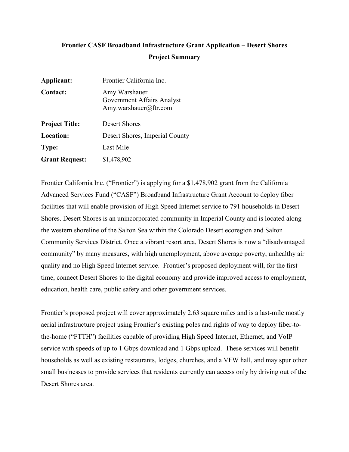## **Frontier CASF Broadband Infrastructure Grant Application – Desert Shores Project Summary**

| Applicant:            | Frontier California Inc.                                             |
|-----------------------|----------------------------------------------------------------------|
| <b>Contact:</b>       | Amy Warshauer<br>Government Affairs Analyst<br>Amy.warshauer@ftr.com |
| <b>Project Title:</b> | Desert Shores                                                        |
| <b>Location:</b>      | Desert Shores, Imperial County                                       |
| Type:                 | Last Mile                                                            |
| <b>Grant Request:</b> | \$1,478,902                                                          |

Frontier California Inc. ("Frontier") is applying for a \$1,478,902 grant from the California Advanced Services Fund ("CASF") Broadband Infrastructure Grant Account to deploy fiber facilities that will enable provision of High Speed Internet service to 791 households in Desert Shores. Desert Shores is an unincorporated community in Imperial County and is located along the western shoreline of the Salton Sea within the Colorado Desert ecoregion and Salton Community Services District. Once a vibrant resort area, Desert Shores is now a "disadvantaged community" by many measures, with high unemployment, above average poverty, unhealthy air quality and no High Speed Internet service. Frontier's proposed deployment will, for the first time, connect Desert Shores to the digital economy and provide improved access to employment, education, health care, public safety and other government services.

Frontier's proposed project will cover approximately 2.63 square miles and is a last-mile mostly aerial infrastructure project using Frontier's existing poles and rights of way to deploy fiber-tothe-home ("FTTH") facilities capable of providing High Speed Internet, Ethernet, and VoIP service with speeds of up to 1 Gbps download and 1 Gbps upload. These services will benefit households as well as existing restaurants, lodges, churches, and a VFW hall, and may spur other small businesses to provide services that residents currently can access only by driving out of the Desert Shores area.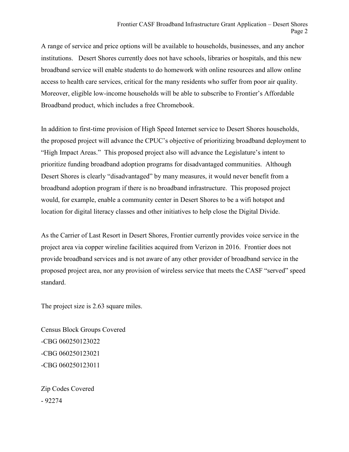A range of service and price options will be available to households, businesses, and any anchor institutions. Desert Shores currently does not have schools, libraries or hospitals, and this new broadband service will enable students to do homework with online resources and allow online access to health care services, critical for the many residents who suffer from poor air quality. Moreover, eligible low-income households will be able to subscribe to Frontier's Affordable Broadband product, which includes a free Chromebook.

In addition to first-time provision of High Speed Internet service to Desert Shores households, the proposed project will advance the CPUC's objective of prioritizing broadband deployment to "High Impact Areas." This proposed project also will advance the Legislature's intent to prioritize funding broadband adoption programs for disadvantaged communities. Although Desert Shores is clearly "disadvantaged" by many measures, it would never benefit from a broadband adoption program if there is no broadband infrastructure. This proposed project would, for example, enable a community center in Desert Shores to be a wifi hotspot and location for digital literacy classes and other initiatives to help close the Digital Divide.

As the Carrier of Last Resort in Desert Shores, Frontier currently provides voice service in the project area via copper wireline facilities acquired from Verizon in 2016. Frontier does not provide broadband services and is not aware of any other provider of broadband service in the proposed project area, nor any provision of wireless service that meets the CASF "served" speed standard.

The project size is 2.63 square miles.

Census Block Groups Covered -CBG 060250123022 -CBG 060250123021 -CBG 060250123011

Zip Codes Covered - 92274